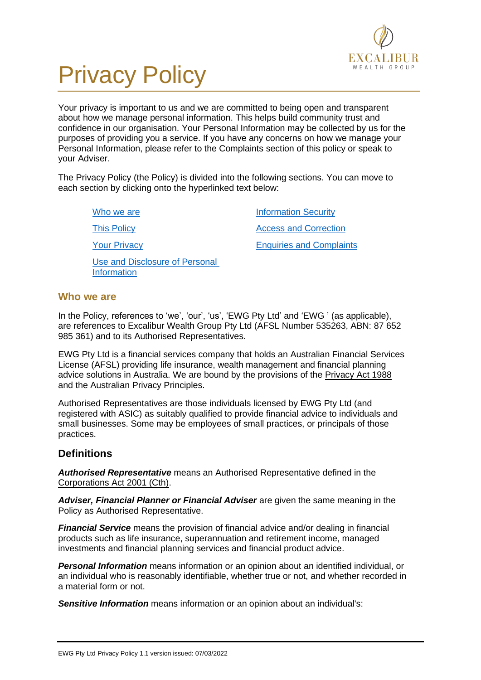

# Privacy Policy

Your privacy is important to us and we are committed to being open and transparent about how we manage personal information. This helps build community trust and confidence in our organisation. Your Personal Information may be collected by us for the purposes of providing you a service. If you have any concerns on how we manage your Personal Information, please refer to the Complaints section of this policy or speak to your Adviser.

The Privacy Policy (the Policy) is divided into the following sections. You can move to each section by clicking onto the hyperlinked text below:

[Who we are](#page-0-0)

[This Policy](#page-1-0)

[Information Security](#page-4-0) [Access and Correction](#page-5-0)

[Your Privacy](#page-1-1)

[Use and Disclosure of Personal](#page-2-0)  [Information](#page-2-0)

[Enquiries and Complaints](#page-5-1)

## <span id="page-0-0"></span>**Who we are**

In the Policy, references to 'we', 'our', 'us', 'EWG Pty Ltd' and 'EWG ' (as applicable), are references to Excalibur Wealth Group Pty Ltd (AFSL Number 535263, ABN: 87 652 985 361) and to its Authorised Representatives.

EWG Pty Ltd is a financial services company that holds an Australian Financial Services License (AFSL) providing life insurance, wealth management and financial planning advice solutions in Australia. We are bound by the provisions of the Privacy Act 1988 and the Australian Privacy Principles.

Authorised Representatives are those individuals licensed by EWG Pty Ltd (and registered with ASIC) as suitably qualified to provide financial advice to individuals and small businesses. Some may be employees of small practices, or principals of those practices.

## **Definitions**

*Authorised Representative* means an Authorised Representative defined in the Corporations Act 2001 (Cth).

*Adviser, Financial Planner or Financial Adviser* are given the same meaning in the Policy as Authorised Representative.

*Financial Service* means the provision of financial advice and/or dealing in financial products such as life insurance, superannuation and retirement income, managed investments and financial planning services and financial product advice.

*Personal Information* means information or an opinion about an identified individual, or an individual who is reasonably identifiable, whether true or not, and whether recorded in a material form or not.

*Sensitive Information* means information or an opinion about an individual's: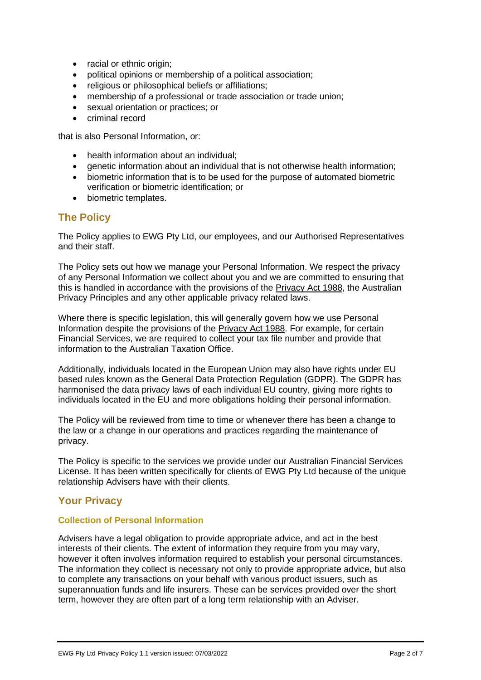- racial or ethnic origin;
- political opinions or membership of a political association;
- religious or philosophical beliefs or affiliations:
- membership of a professional or trade association or trade union:
- sexual orientation or practices; or
- criminal record

that is also Personal Information, or:

- health information about an individual;
- genetic information about an individual that is not otherwise health information;
- biometric information that is to be used for the purpose of automated biometric verification or biometric identification; or
- biometric templates.

## <span id="page-1-0"></span>**The Policy**

The Policy applies to EWG Pty Ltd, our employees, and our Authorised Representatives and their staff.

The Policy sets out how we manage your Personal Information. We respect the privacy of any Personal Information we collect about you and we are committed to ensuring that this is handled in accordance with the provisions of the Privacy Act 1988, the Australian Privacy Principles and any other applicable privacy related laws.

Where there is specific legislation, this will generally govern how we use Personal Information despite the provisions of the Privacy Act 1988. For example, for certain Financial Services, we are required to collect your tax file number and provide that information to the Australian Taxation Office.

Additionally, individuals located in the European Union may also have rights under EU based rules known as the General Data Protection Regulation (GDPR). The GDPR has harmonised the data privacy laws of each individual EU country, giving more rights to individuals located in the EU and more obligations holding their personal information.

The Policy will be reviewed from time to time or whenever there has been a change to the law or a change in our operations and practices regarding the maintenance of privacy.

The Policy is specific to the services we provide under our Australian Financial Services License. It has been written specifically for clients of EWG Pty Ltd because of the unique relationship Advisers have with their clients.

## <span id="page-1-1"></span>**Your Privacy**

#### **Collection of Personal Information**

Advisers have a legal obligation to provide appropriate advice, and act in the best interests of their clients. The extent of information they require from you may vary, however it often involves information required to establish your personal circumstances. The information they collect is necessary not only to provide appropriate advice, but also to complete any transactions on your behalf with various product issuers, such as superannuation funds and life insurers. These can be services provided over the short term, however they are often part of a long term relationship with an Adviser.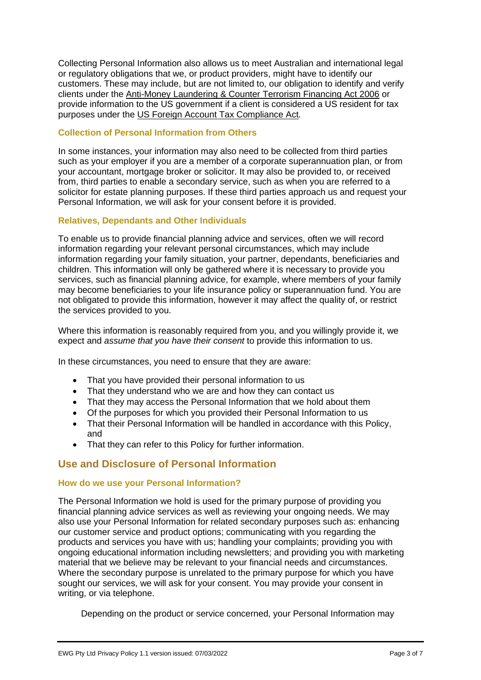Collecting Personal Information also allows us to meet Australian and international legal or regulatory obligations that we, or product providers, might have to identify our customers. These may include, but are not limited to, our obligation to identify and verify clients under the Anti-Money Laundering & Counter Terrorism Financing Act 2006 or provide information to the US government if a client is considered a US resident for tax purposes under the US Foreign Account Tax Compliance Act*.*

#### **Collection of Personal Information from Others**

In some instances, your information may also need to be collected from third parties such as your employer if you are a member of a corporate superannuation plan, or from your accountant, mortgage broker or solicitor. It may also be provided to, or received from, third parties to enable a secondary service, such as when you are referred to a solicitor for estate planning purposes. If these third parties approach us and request your Personal Information, we will ask for your consent before it is provided.

#### **Relatives, Dependants and Other Individuals**

To enable us to provide financial planning advice and services, often we will record information regarding your relevant personal circumstances, which may include information regarding your family situation, your partner, dependants, beneficiaries and children. This information will only be gathered where it is necessary to provide you services, such as financial planning advice, for example, where members of your family may become beneficiaries to your life insurance policy or superannuation fund. You are not obligated to provide this information, however it may affect the quality of, or restrict the services provided to you.

Where this information is reasonably required from you, and you willingly provide it, we expect and *assume that you have their consent* to provide this information to us.

In these circumstances, you need to ensure that they are aware:

- That you have provided their personal information to us
- That they understand who we are and how they can contact us
- That they may access the Personal Information that we hold about them
- Of the purposes for which you provided their Personal Information to us
- That their Personal Information will be handled in accordance with this Policy, and
- That they can refer to this Policy for further information.

## <span id="page-2-0"></span>**Use and Disclosure of Personal Information**

#### **How do we use your Personal Information?**

The Personal Information we hold is used for the primary purpose of providing you financial planning advice services as well as reviewing your ongoing needs. We may also use your Personal Information for related secondary purposes such as: enhancing our customer service and product options; communicating with you regarding the products and services you have with us; handling your complaints; providing you with ongoing educational information including newsletters; and providing you with marketing material that we believe may be relevant to your financial needs and circumstances. Where the secondary purpose is unrelated to the primary purpose for which you have sought our services, we will ask for your consent. You may provide your consent in writing, or via telephone.

Depending on the product or service concerned, your Personal Information may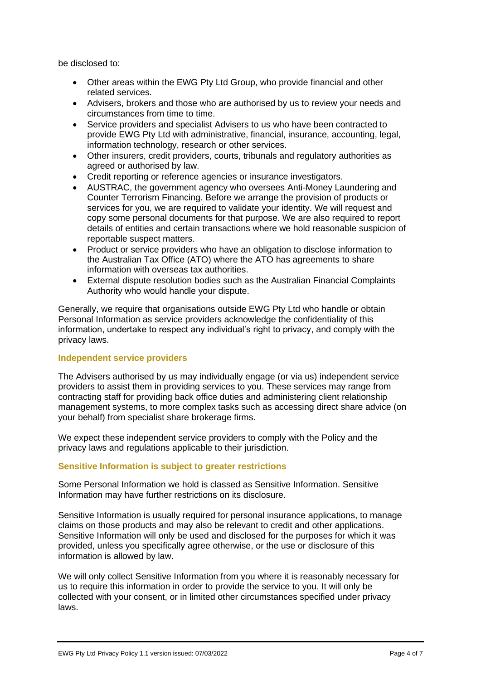be disclosed to:

- Other areas within the EWG Pty Ltd Group, who provide financial and other related services.
- Advisers, brokers and those who are authorised by us to review your needs and circumstances from time to time.
- Service providers and specialist Advisers to us who have been contracted to provide EWG Pty Ltd with administrative, financial, insurance, accounting, legal, information technology, research or other services.
- Other insurers, credit providers, courts, tribunals and regulatory authorities as agreed or authorised by law.
- Credit reporting or reference agencies or insurance investigators.
- AUSTRAC, the government agency who oversees Anti-Money Laundering and Counter Terrorism Financing. Before we arrange the provision of products or services for you, we are required to validate your identity. We will request and copy some personal documents for that purpose. We are also required to report details of entities and certain transactions where we hold reasonable suspicion of reportable suspect matters.
- Product or service providers who have an obligation to disclose information to the Australian Tax Office (ATO) where the ATO has agreements to share information with overseas tax authorities.
- External dispute resolution bodies such as the Australian Financial Complaints Authority who would handle your dispute.

Generally, we require that organisations outside EWG Pty Ltd who handle or obtain Personal Information as service providers acknowledge the confidentiality of this information, undertake to respect any individual's right to privacy, and comply with the privacy laws.

#### **Independent service providers**

The Advisers authorised by us may individually engage (or via us) independent service providers to assist them in providing services to you. These services may range from contracting staff for providing back office duties and administering client relationship management systems, to more complex tasks such as accessing direct share advice (on your behalf) from specialist share brokerage firms.

We expect these independent service providers to comply with the Policy and the privacy laws and regulations applicable to their jurisdiction.

#### **Sensitive Information is subject to greater restrictions**

Some Personal Information we hold is classed as Sensitive Information. Sensitive Information may have further restrictions on its disclosure.

Sensitive Information is usually required for personal insurance applications, to manage claims on those products and may also be relevant to credit and other applications. Sensitive Information will only be used and disclosed for the purposes for which it was provided, unless you specifically agree otherwise, or the use or disclosure of this information is allowed by law.

We will only collect Sensitive Information from you where it is reasonably necessary for us to require this information in order to provide the service to you. It will only be collected with your consent, or in limited other circumstances specified under privacy laws.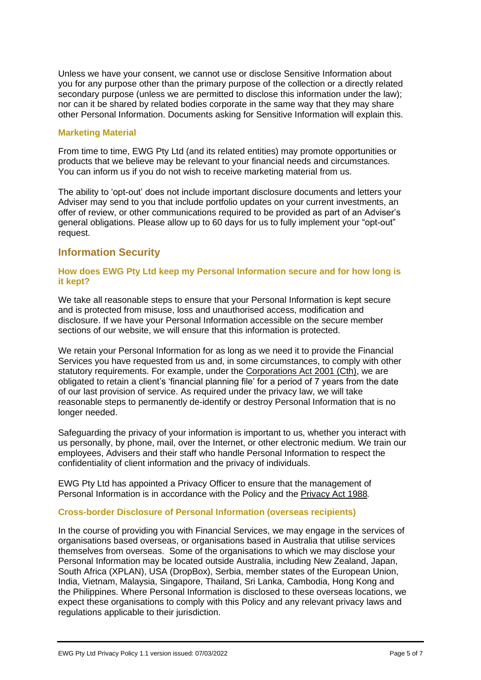Unless we have your consent, we cannot use or disclose Sensitive Information about you for any purpose other than the primary purpose of the collection or a directly related secondary purpose (unless we are permitted to disclose this information under the law); nor can it be shared by related bodies corporate in the same way that they may share other Personal Information. Documents asking for Sensitive Information will explain this.

#### **Marketing Material**

From time to time, EWG Pty Ltd (and its related entities) may promote opportunities or products that we believe may be relevant to your financial needs and circumstances. You can inform us if you do not wish to receive marketing material from us.

The ability to 'opt-out' does not include important disclosure documents and letters your Adviser may send to you that include portfolio updates on your current investments, an offer of review, or other communications required to be provided as part of an Adviser's general obligations. Please allow up to 60 days for us to fully implement your "opt-out" request.

## <span id="page-4-0"></span>**Information Security**

#### **How does EWG Pty Ltd keep my Personal Information secure and for how long is it kept?**

We take all reasonable steps to ensure that your Personal Information is kept secure and is protected from misuse, loss and unauthorised access, modification and disclosure. If we have your Personal Information accessible on the secure member sections of our website, we will ensure that this information is protected.

We retain your Personal Information for as long as we need it to provide the Financial Services you have requested from us and, in some circumstances, to comply with other statutory requirements. For example, under the Corporations Act 2001 (Cth), we are obligated to retain a client's 'financial planning file' for a period of 7 years from the date of our last provision of service. As required under the privacy law, we will take reasonable steps to permanently de-identify or destroy Personal Information that is no longer needed.

Safeguarding the privacy of your information is important to us, whether you interact with us personally, by phone, mail, over the Internet, or other electronic medium. We train our employees, Advisers and their staff who handle Personal Information to respect the confidentiality of client information and the privacy of individuals.

EWG Pty Ltd has appointed a Privacy Officer to ensure that the management of Personal Information is in accordance with the Policy and the Privacy Act 1988*.*

#### **Cross-border Disclosure of Personal Information (overseas recipients)**

In the course of providing you with Financial Services, we may engage in the services of organisations based overseas, or organisations based in Australia that utilise services themselves from overseas. Some of the organisations to which we may disclose your Personal Information may be located outside Australia, including New Zealand, Japan, South Africa (XPLAN), USA (DropBox), Serbia, member states of the European Union, India, Vietnam, Malaysia, Singapore, Thailand, Sri Lanka, Cambodia, Hong Kong and the Philippines. Where Personal Information is disclosed to these overseas locations, we expect these organisations to comply with this Policy and any relevant privacy laws and regulations applicable to their jurisdiction.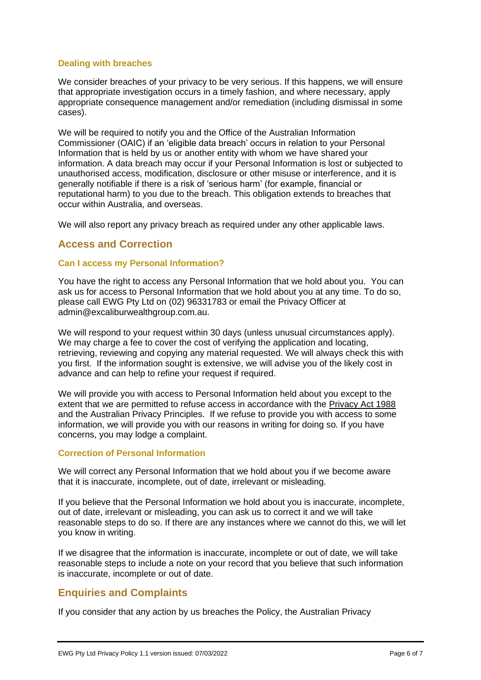#### **Dealing with breaches**

We consider breaches of your privacy to be very serious. If this happens, we will ensure that appropriate investigation occurs in a timely fashion, and where necessary, apply appropriate consequence management and/or remediation (including dismissal in some cases).

We will be required to notify you and the Office of the Australian Information Commissioner (OAIC) if an 'eligible data breach' occurs in relation to your Personal Information that is held by us or another entity with whom we have shared your information. A data breach may occur if your Personal Information is lost or subjected to unauthorised access, modification, disclosure or other misuse or interference, and it is generally notifiable if there is a risk of 'serious harm' (for example, financial or reputational harm) to you due to the breach. This obligation extends to breaches that occur within Australia, and overseas.

We will also report any privacy breach as required under any other applicable laws.

## <span id="page-5-0"></span>**Access and Correction**

#### **Can I access my Personal Information?**

You have the right to access any Personal Information that we hold about you. You can ask us for access to Personal Information that we hold about you at any time. To do so, please call EWG Pty Ltd on (02) 96331783 or email the Privacy Officer at admin@excaliburwealthgroup.com.au.

We will respond to your request within 30 days (unless unusual circumstances apply). We may charge a fee to cover the cost of verifying the application and locating, retrieving, reviewing and copying any material requested. We will always check this with you first. If the information sought is extensive, we will advise you of the likely cost in advance and can help to refine your request if required.

We will provide you with access to Personal Information held about you except to the extent that we are permitted to refuse access in accordance with the Privacy Act 1988 and the Australian Privacy Principles. If we refuse to provide you with access to some information, we will provide you with our reasons in writing for doing so. If you have concerns, you may lodge a complaint.

#### **Correction of Personal Information**

We will correct any Personal Information that we hold about you if we become aware that it is inaccurate, incomplete, out of date, irrelevant or misleading.

If you believe that the Personal Information we hold about you is inaccurate, incomplete, out of date, irrelevant or misleading, you can ask us to correct it and we will take reasonable steps to do so. If there are any instances where we cannot do this, we will let you know in writing.

If we disagree that the information is inaccurate, incomplete or out of date, we will take reasonable steps to include a note on your record that you believe that such information is inaccurate, incomplete or out of date.

## <span id="page-5-1"></span>**Enquiries and Complaints**

If you consider that any action by us breaches the Policy, the Australian Privacy